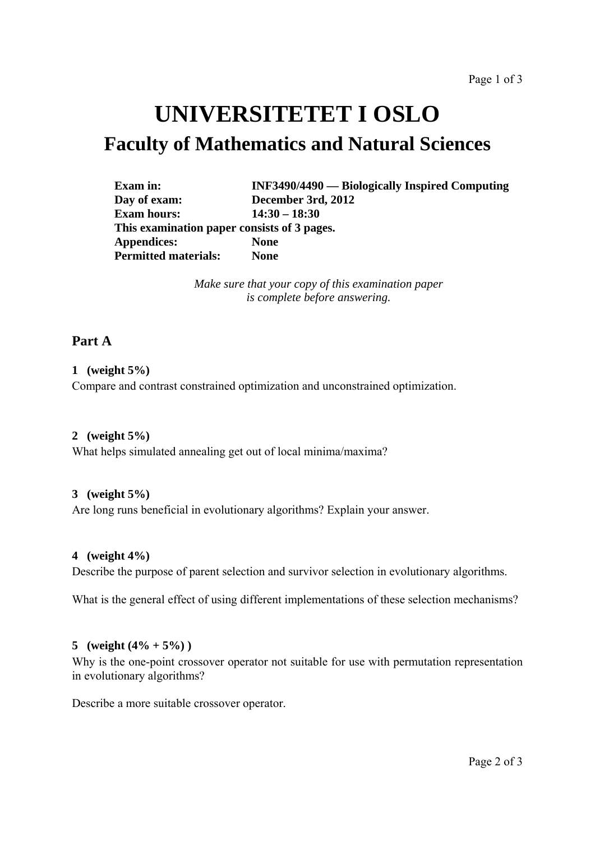# **UNIVERSITETET I OSLO Faculty of Mathematics and Natural Sciences**

| <b>Exam</b> in:                             | <b>INF3490/4490</b> — Biologically Inspired Computing |
|---------------------------------------------|-------------------------------------------------------|
| Day of exam:                                | December 3rd, 2012                                    |
| <b>Exam hours:</b>                          | $14:30 - 18:30$                                       |
| This examination paper consists of 3 pages. |                                                       |
| <b>Appendices:</b>                          | <b>None</b>                                           |
| <b>Permitted materials:</b>                 | <b>None</b>                                           |

*Make sure that your copy of this examination paper is complete before answering.*

# **Part A**

# **1 (weight 5%)**

Compare and contrast constrained optimization and unconstrained optimization.

# **2 (weight 5%)**

What helps simulated annealing get out of local minima/maxima?

# **3 (weight 5%)**

Are long runs beneficial in evolutionary algorithms? Explain your answer.

#### **4 (weight 4%)**

Describe the purpose of parent selection and survivor selection in evolutionary algorithms.

What is the general effect of using different implementations of these selection mechanisms?

# 5 (weight  $(4\% + 5\%)$ )

Why is the one-point crossover operator not suitable for use with permutation representation in evolutionary algorithms?

Describe a more suitable crossover operator.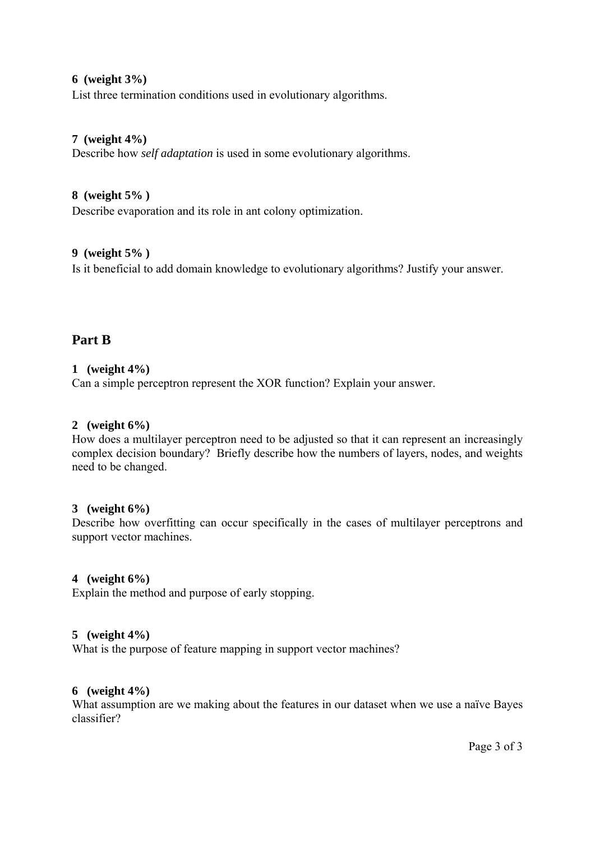#### **6 (weight 3%)**

List three termination conditions used in evolutionary algorithms.

#### **7 (weight 4%)**

Describe how *self adaptation* is used in some evolutionary algorithms.

## **8 (weight 5% )**

Describe evaporation and its role in ant colony optimization.

#### **9 (weight 5% )**

Is it beneficial to add domain knowledge to evolutionary algorithms? Justify your answer.

# **Part B**

## **1 (weight 4%)**

Can a simple perceptron represent the XOR function? Explain your answer.

## **2 (weight 6%)**

How does a multilayer perceptron need to be adjusted so that it can represent an increasingly complex decision boundary? Briefly describe how the numbers of layers, nodes, and weights need to be changed.

#### **3 (weight 6%)**

Describe how overfitting can occur specifically in the cases of multilayer perceptrons and support vector machines.

# **4 (weight 6%)**

Explain the method and purpose of early stopping.

#### **5 (weight 4%)**

What is the purpose of feature mapping in support vector machines?

### **6 (weight 4%)**

What assumption are we making about the features in our dataset when we use a naïve Bayes classifier?